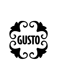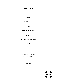## **Lunchmenu**

Appetizer

Appetizer of the Day

### **Starter**

Avocado | Chili | Puffed Rice

Main Course

Cod | Lemon Beurre Blanc| Spinach

**Dessert** 

Coffee or Tea

Dessert Alternative: Café Glacé

(Supplement of € 6.00 p.p.)

**€38,00 p.p.** 

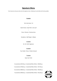## **Signature Menu**

From 6 persons and up we only serve the signature menu. Ordering à la carte dishes will not be possible.

### **4 courses**

`Eel in the Green` 2.0

–

Steak Tartare | Quail Yolk | Lime Leaf

–

Preza | Cherries | Pommes Anna

–

Strawberry | Bell Pepper | Allspice

#### **5 courses**

Nr. 34 | Chef's Signature

### **6 courses**

Tuna Tataki | Ponzu | Potato Croissant

### **7 courses**

Kazen Van Tricht

4 coursemenu €67,00 p.p | Customized Menu Wines + €30,00 p.p.

5 coursemenu €78,00 p.p. | Customized Menu Wines + €37,50 p.p.

6 coursemenu €89,00 p.p. | Customized Menu Wines + €45,00 p.p.

7 coursemenu €99,00 p.p. | Customized Menu Wines + €52,50 p.p.

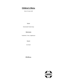# **Children's Menu**

(Up to 12 years old)

**Starter** 

Homemade Tomato Soup

### Main Course

Tenderloin | Fries | Applesauce

**Dessert** 

Ice Cream

**€25,00 p.p.**